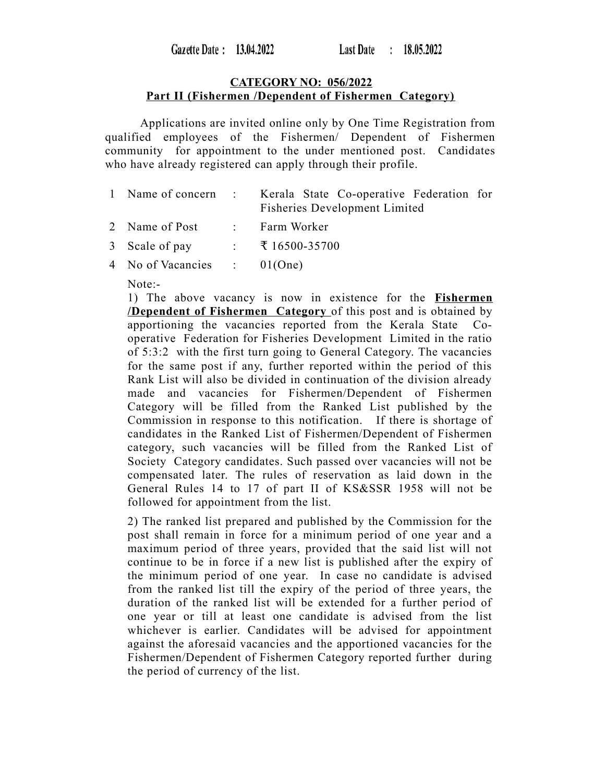## **CATEGORY NO: 056/2022 Part II (Fishermen /Dependent of Fishermen Category)**

Applications are invited online only by One Time Registration from qualified employees of the Fishermen/ Dependent of Fishermen community for appointment to the under mentioned post. Candidates who have already registered can apply through their profile.

|  | 1 Name of concern : Kerala State Co-operative Federation for |  |
|--|--------------------------------------------------------------|--|
|  | <b>Fisheries Development Limited</b>                         |  |

- 2 Name of Post : Farm Worker
- 3 Scale of pay : ₹ 16500-35700
- 4 No of Vacancies : 01(One)

Note:-

1) The above vacancy is now in existence for the **Fishermen /Dependent of Fishermen Category** of this post and is obtained by apportioning the vacancies reported from the Kerala State Cooperative Federation for Fisheries Development Limited in the ratio of 5:3:2 with the first turn going to General Category. The vacancies for the same post if any, further reported within the period of this Rank List will also be divided in continuation of the division already made and vacancies for Fishermen/Dependent of Fishermen Category will be filled from the Ranked List published by the Commission in response to this notification. If there is shortage of candidates in the Ranked List of Fishermen/Dependent of Fishermen category, such vacancies will be filled from the Ranked List of Society Category candidates. Such passed over vacancies will not be compensated later. The rules of reservation as laid down in the General Rules 14 to 17 of part II of KS&SSR 1958 will not be followed for appointment from the list.

2) The ranked list prepared and published by the Commission for the post shall remain in force for a minimum period of one year and a maximum period of three years, provided that the said list will not continue to be in force if a new list is published after the expiry of the minimum period of one year. In case no candidate is advised from the ranked list till the expiry of the period of three years, the duration of the ranked list will be extended for a further period of one year or till at least one candidate is advised from the list whichever is earlier. Candidates will be advised for appointment against the aforesaid vacancies and the apportioned vacancies for the Fishermen/Dependent of Fishermen Category reported further during the period of currency of the list.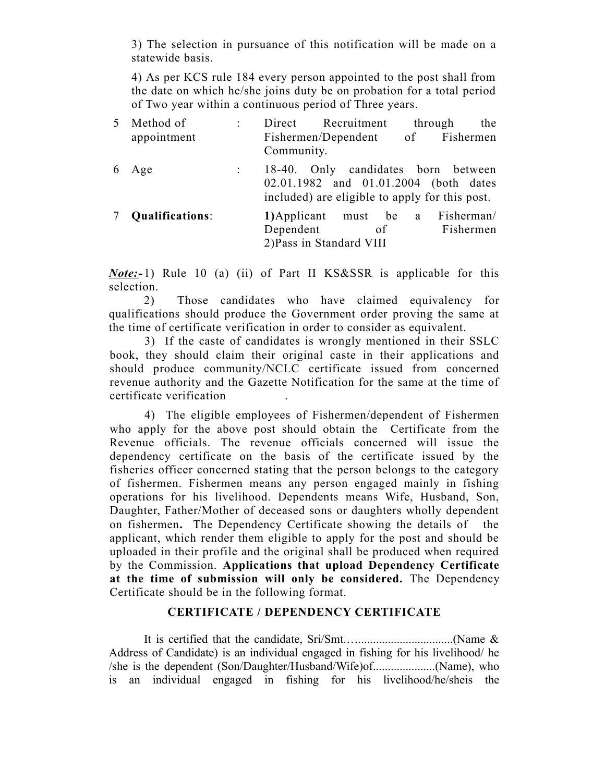3) The selection in pursuance of this notification will be made on a statewide basis.

4) As per KCS rule 184 every person appointed to the post shall from the date on which he/she joins duty be on probation for a total period of Two year within a continuous period of Three years.

| 5 | Method of       |            | Direct Recruitment                             | through      | the |
|---|-----------------|------------|------------------------------------------------|--------------|-----|
|   | appointment     |            | Fishermen/Dependent of Fishermen               |              |     |
|   |                 | Community. |                                                |              |     |
| 6 | Age             |            | 18-40. Only candidates born between            |              |     |
|   |                 |            | 02.01.1982 and 01.01.2004 (both dates          |              |     |
|   |                 |            | included) are eligible to apply for this post. |              |     |
|   | Qualifications: |            | 1) Applicant must be                           | a Fisherman/ |     |
|   |                 | Dependent  | of                                             | Fishermen    |     |
|   |                 |            | 2) Pass in Standard VIII                       |              |     |

*Note:-* 1) Rule 10 (a) (ii) of Part II KS&SSR is applicable for this selection.

2) Those candidates who have claimed equivalency for qualifications should produce the Government order proving the same at the time of certificate verification in order to consider as equivalent.

3) If the caste of candidates is wrongly mentioned in their SSLC book, they should claim their original caste in their applications and should produce community/NCLC certificate issued from concerned revenue authority and the Gazette Notification for the same at the time of certificate verification .

4) The eligible employees of Fishermen/dependent of Fishermen who apply for the above post should obtain the Certificate from the Revenue officials. The revenue officials concerned will issue the dependency certificate on the basis of the certificate issued by the fisheries officer concerned stating that the person belongs to the category of fishermen. Fishermen means any person engaged mainly in fishing operations for his livelihood. Dependents means Wife, Husband, Son, Daughter, Father/Mother of deceased sons or daughters wholly dependent on fishermen**.** The Dependency Certificate showing the details of the applicant, which render them eligible to apply for the post and should be uploaded in their profile and the original shall be produced when required by the Commission. **Applications that upload Dependency Certificate at the time of submission will only be considered.** The Dependency Certificate should be in the following format.

## **CERTIFICATE / DEPENDENCY CERTIFICATE**

It is certified that the candidate, Sri/Smt.…................................(Name & Address of Candidate) is an individual engaged in fishing for his livelihood/ he /she is the dependent (Son/Daughter/Husband/Wife)of.....................(Name), who is an individual engaged in fishing for his livelihood/he/sheis the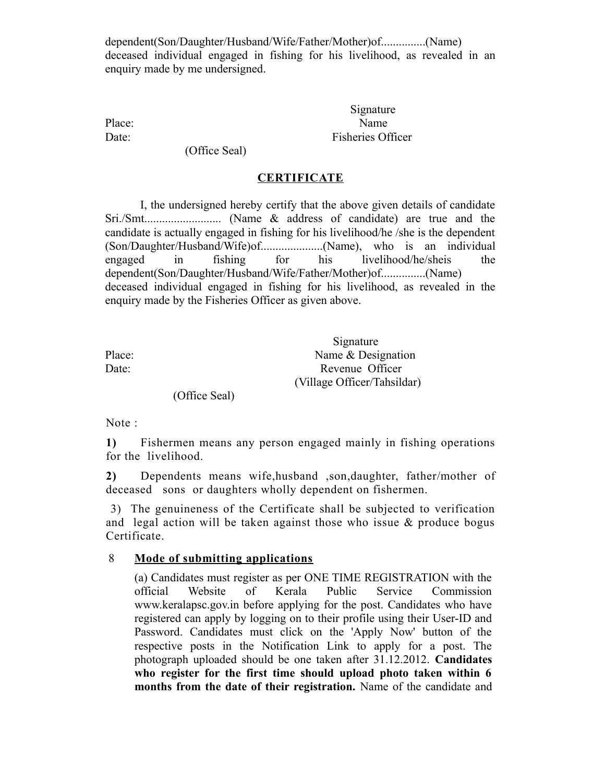dependent(Son/Daughter/Husband/Wife/Father/Mother)of...............(Name) deceased individual engaged in fishing for his livelihood, as revealed in an enquiry made by me undersigned.

Signature Place: Name Date: Fisheries Officer

(Office Seal)

## **CERTIFICATE**

I, the undersigned hereby certify that the above given details of candidate Sri./Smt.......................... (Name & address of candidate) are true and the candidate is actually engaged in fishing for his livelihood/he /she is the dependent (Son/Daughter/Husband/Wife)of.....................(Name), who is an individual engaged in fishing for his livelihood/he/sheis the dependent(Son/Daughter/Husband/Wife/Father/Mother)of...............(Name) deceased individual engaged in fishing for his livelihood, as revealed in the enquiry made by the Fisheries Officer as given above.

|        | Signature                   |  |  |
|--------|-----------------------------|--|--|
| Place: | Name $&$ Designation        |  |  |
| Date:  | Revenue Officer             |  |  |
|        | (Village Officer/Tahsildar) |  |  |

(Office Seal)

Note :

**1)** Fishermen means any person engaged mainly in fishing operations for the livelihood.

**2)** Dependents means wife,husband ,son,daughter, father/mother of deceased sons or daughters wholly dependent on fishermen.

 3) The genuineness of the Certificate shall be subjected to verification and legal action will be taken against those who issue & produce bogus Certificate.

## 8 **Mode of submitting applications**

(a) Candidates must register as per ONE TIME REGISTRATION with the official Website of Kerala Public Service Commission www.keralapsc.gov.in before applying for the post. Candidates who have registered can apply by logging on to their profile using their User-ID and Password. Candidates must click on the 'Apply Now' button of the respective posts in the Notification Link to apply for a post. The photograph uploaded should be one taken after 31.12.2012. **Candidates who register for the first time should upload photo taken within 6 months from the date of their registration.** Name of the candidate and